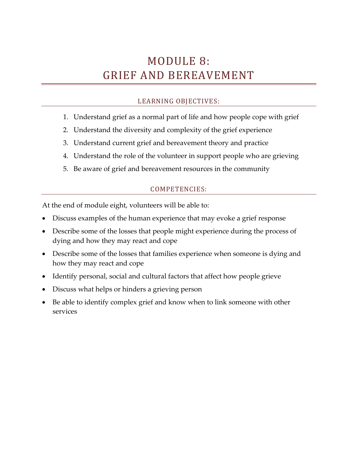# MODULE 8: GRIEF AND BEREAVEMENT

# LEARNING OBJECTIVES:

- 1. Understand grief as a normal part of life and how people cope with grief
- 2. Understand the diversity and complexity of the grief experience
- 3. Understand current grief and bereavement theory and practice
- 4. Understand the role of the volunteer in support people who are grieving
- 5. Be aware of grief and bereavement resources in the community

# COMPETENCIES:

At the end of module eight, volunteers will be able to:

- Discuss examples of the human experience that may evoke a grief response
- Describe some of the losses that people might experience during the process of dying and how they may react and cope
- Describe some of the losses that families experience when someone is dying and how they may react and cope
- Identify personal, social and cultural factors that affect how people grieve
- Discuss what helps or hinders a grieving person
- Be able to identify complex grief and know when to link someone with other services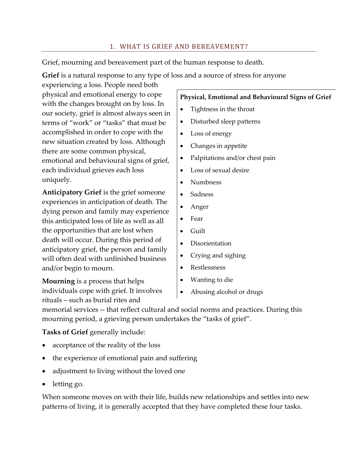### 1. WHAT IS GRIEF AND BEREAVEMENT?

Grief, mourning and bereavement part of the human response to death.

**Grief** is a natural response to any type of loss and a source of stress for anyone

experiencing a loss. People need both physical and emotional energy to cope with the changes brought on by loss. In our society, grief is almost always seen in terms of "work" or "tasks" that must be accomplished in order to cope with the new situation created by loss. Although there are some common physical, emotional and behavioural signs of grief, each individual grieves each loss uniquely.

**Anticipatory Grief** is the grief someone experiences in anticipation of death. The dying person and family may experience this anticipated loss of life as well as all the opportunities that are lost when death will occur. During this period of anticipatory grief, the person and family will often deal with unfinished business and/or begin to mourn.

**Mourning** is a process that helps individuals cope with grief. It involves rituals – such as burial rites and

#### **Physical, Emotional and Behavioural Signs of Grief**

- Tightness in the throat
- Disturbed sleep patterns
- Loss of energy
- Changes in appetite
- Palpitations and/or chest pain
- Loss of sexual desire
- Numbness
- Sadness
- Anger
- Fear
- Guilt
- Disorientation
- Crying and sighing
- Restlessness
- Wanting to die
- Abusing alcohol or drugs

memorial services -- that reflect cultural and social norms and practices. During this mourning period, a grieving person undertakes the "tasks of grief".

**Tasks of Grief** generally include:

- acceptance of the reality of the loss
- the experience of emotional pain and suffering
- adjustment to living without the loved one
- letting go.

When someone moves on with their life, builds new relationships and settles into new patterns of living, it is generally accepted that they have completed these four tasks.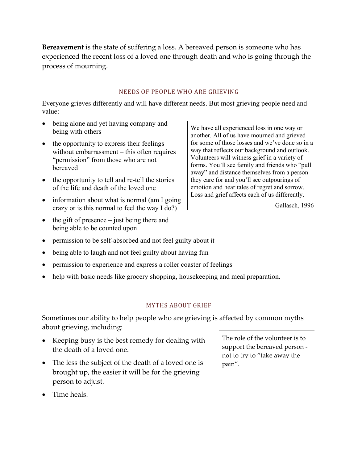**Bereavement** is the state of suffering a loss. A bereaved person is someone who has experienced the recent loss of a loved one through death and who is going through the process of mourning.

#### NEEDS OF PEOPLE WHO ARE GRIEVING

Everyone grieves differently and will have different needs. But most grieving people need and value:

- being alone and yet having company and being with others
- the opportunity to express their feelings without embarrassment – this often requires "permission" from those who are not bereaved
- the opportunity to tell and re-tell the stories of the life and death of the loved one
- information about what is normal (am I going crazy or is this normal to feel the way I do?)
- the gift of presence  $-$  just being there and being able to be counted upon
- permission to be self-absorbed and not feel guilty about it
- being able to laugh and not feel guilty about having fun
- permission to experience and express a roller coaster of feelings
- help with basic needs like grocery shopping, housekeeping and meal preparation.

#### **MYTHS ABOUT GRIEF**

Sometimes our ability to help people who are grieving is affected by common myths about grieving, including:

- Keeping busy is the best remedy for dealing with the death of a loved one.
- The less the subject of the death of a loved one is brought up, the easier it will be for the grieving person to adjust.

The role of the volunteer is to support the bereaved person not to try to "take away the pain".

We have all experienced loss in one way or another. All of us have mourned and grieved for some of those losses and we've done so in a way that reflects our background and outlook. Volunteers will witness grief in a variety of forms. You'll see family and friends who "pull away" and distance themselves from a person they care for and you'll see outpourings of emotion and hear tales of regret and sorrow. Loss and grief affects each of us differently.

Gallasch, 1996

• Time heals.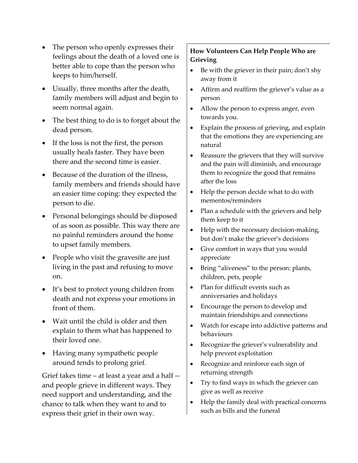- The person who openly expresses their feelings about the death of a loved one is better able to cope than the person who keeps to him/herself.
- Usually, three months after the death, family members will adjust and begin to seem normal again.
- The best thing to do is to forget about the dead person.
- If the loss is not the first, the person usually heals faster. They have been there and the second time is easier.
- Because of the duration of the illness, family members and friends should have an easier time coping: they expected the person to die.
- Personal belongings should be disposed of as soon as possible. This way there are no painful reminders around the home to upset family members.
- People who visit the gravesite are just living in the past and refusing to move on.
- It's best to protect young children from death and not express your emotions in front of them.
- Wait until the child is older and then explain to them what has happened to their loved one.
- Having many sympathetic people around tends to prolong grief.

Grief takes time – at least a year and a half - and people grieve in different ways. They need support and understanding, and the chance to talk when they want to and to express their grief in their own way.

## **How Volunteers Can Help People Who are Grieving**

- Be with the griever in their pain; don't shy away from it
- Affirm and reaffirm the griever's value as a person
- Allow the person to express anger, even towards you.
- Explain the process of grieving, and explain that the emotions they are experiencing are natural
- Reassure the grievers that they will survive and the pain will diminish, and encourage them to recognize the good that remains after the loss
- Help the person decide what to do with mementos/reminders
- Plan a schedule with the grievers and help them keep to it
- Help with the necessary decision-making, but don't make the griever's decisions
- Give comfort in ways that you would appreciate
- Bring "aliveness" to the person: plants, children, pets, people
- Plan for difficult events such as anniversaries and holidays
- Encourage the person to develop and maintain friendships and connections
- Watch for escape into addictive patterns and behaviours
- Recognize the griever's vulnerability and help prevent exploitation
- Recognize and reinforce each sign of returning strength
- Try to find ways in which the griever can give as well as receive
- Help the family deal with practical concerns such as bills and the funeral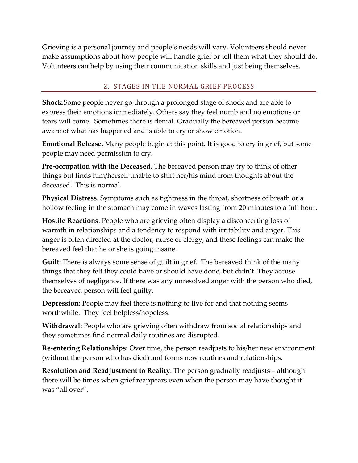Grieving is a personal journey and people's needs will vary. Volunteers should never make assumptions about how people will handle grief or tell them what they should do. Volunteers can help by using their communication skills and just being themselves.

## 2. STAGES IN THE NORMAL GRIEF PROCESS

**Shock.**Some people never go through a prolonged stage of shock and are able to express their emotions immediately. Others say they feel numb and no emotions or tears will come. Sometimes there is denial. Gradually the bereaved person become aware of what has happened and is able to cry or show emotion.

**Emotional Release.** Many people begin at this point. It is good to cry in grief, but some people may need permission to cry.

**Pre-occupation with the Deceased.** The bereaved person may try to think of other things but finds him/herself unable to shift her/his mind from thoughts about the deceased. This is normal.

**Physical Distress**. Symptoms such as tightness in the throat, shortness of breath or a hollow feeling in the stomach may come in waves lasting from 20 minutes to a full hour.

**Hostile Reactions**. People who are grieving often display a disconcerting loss of warmth in relationships and a tendency to respond with irritability and anger. This anger is often directed at the doctor, nurse or clergy, and these feelings can make the bereaved feel that he or she is going insane.

**Guilt:** There is always some sense of guilt in grief. The bereaved think of the many things that they felt they could have or should have done, but didn't. They accuse themselves of negligence. If there was any unresolved anger with the person who died, the bereaved person will feel guilty.

**Depression:** People may feel there is nothing to live for and that nothing seems worthwhile. They feel helpless/hopeless.

**Withdrawal:** People who are grieving often withdraw from social relationships and they sometimes find normal daily routines are disrupted.

**Re-entering Relationships**: Over time, the person readjusts to his/her new environment (without the person who has died) and forms new routines and relationships.

**Resolution and Readjustment to Reality**: The person gradually readjusts – although there will be times when grief reappears even when the person may have thought it was "all over".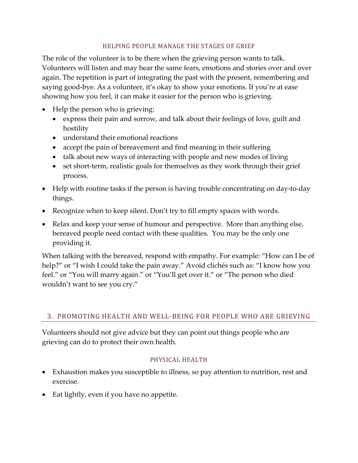#### HELPING PEOPLE MANAGE THE STAGES OF GRIEF

The role of the volunteer is to be there when the grieving person wants to talk. Volunteers will listen and may hear the same fears, emotions and stories over and over again. The repetition is part of integrating the past with the present, remembering and saying good-bye. As a volunteer, it's okay to show your emotions. If you're at ease showing how you feel, it can make it easier for the person who is grieving.

- Help the person who is grieving:
	- express their pain and sorrow, and talk about their feelings of love, guilt and hostility
	- understand their emotional reactions
	- accept the pain of bereavement and find meaning in their suffering
	- talk about new ways of interacting with people and new modes of living
	- set short-term, realistic goals for themselves as they work through their grief process.
- Help with routine tasks if the person is having trouble concentrating on day-to-day things.
- Recognize when to keep silent. Don't try to fill empty spaces with words.
- Relax and keep your sense of humour and perspective. More than anything else, bereaved people need contact with these qualities. You may be the only one providing it.

When talking with the bereaved, respond with empathy. For example: "How can I be of help?" or "I wish I could take the pain away." Avoid clichés such as: "I know how you feel." or "You will marry again." or "You'll get over it." or "The person who died wouldn't want to see you cry."

## 3. PROMOTING HEALTH AND WELL-BEING FOR PEOPLE WHO ARE GRIEVING

Volunteers should not give advice but they can point out things people who are grieving can do to protect their own health.

#### PHYSICAL HEALTH

- Exhaustion makes you susceptible to illness, so pay attention to nutrition, rest and exercise.
- Eat lightly, even if you have no appetite.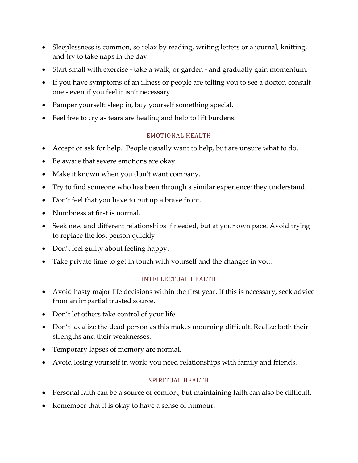- Sleeplessness is common, so relax by reading, writing letters or a journal, knitting, and try to take naps in the day.
- Start small with exercise take a walk, or garden and gradually gain momentum.
- If you have symptoms of an illness or people are telling you to see a doctor, consult one - even if you feel it isn't necessary.
- Pamper yourself: sleep in, buy yourself something special.
- Feel free to cry as tears are healing and help to lift burdens.

## EMOTIONAL HEALTH

- Accept or ask for help. People usually want to help, but are unsure what to do.
- Be aware that severe emotions are okay.
- Make it known when you don't want company.
- Try to find someone who has been through a similar experience: they understand.
- Don't feel that you have to put up a brave front.
- Numbness at first is normal.
- Seek new and different relationships if needed, but at your own pace. Avoid trying to replace the lost person quickly.
- Don't feel guilty about feeling happy.
- Take private time to get in touch with yourself and the changes in you.

#### INTELLECTUAL HEALTH

- Avoid hasty major life decisions within the first year. If this is necessary, seek advice from an impartial trusted source.
- Don't let others take control of your life.
- Don't idealize the dead person as this makes mourning difficult. Realize both their strengths and their weaknesses.
- Temporary lapses of memory are normal.
- Avoid losing yourself in work: you need relationships with family and friends.

#### SPIRITUAL HEALTH

- Personal faith can be a source of comfort, but maintaining faith can also be difficult.
- Remember that it is okay to have a sense of humour.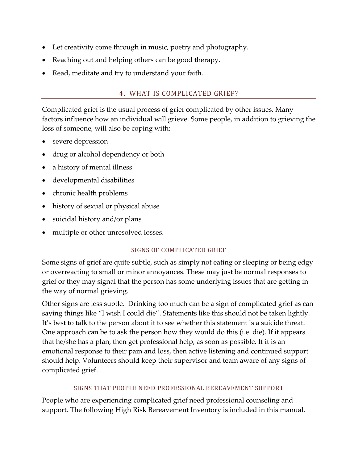- Let creativity come through in music, poetry and photography.
- Reaching out and helping others can be good therapy.
- Read, meditate and try to understand your faith.

## 4. WHAT IS COMPLICATED GRIEF?

Complicated grief is the usual process of grief complicated by other issues. Many factors influence how an individual will grieve. Some people, in addition to grieving the loss of someone, will also be coping with:

- severe depression
- drug or alcohol dependency or both
- a history of mental illness
- developmental disabilities
- chronic health problems
- history of sexual or physical abuse
- suicidal history and/or plans
- multiple or other unresolved losses.

#### SIGNS OF COMPLICATED GRIEF

Some signs of grief are quite subtle, such as simply not eating or sleeping or being edgy or overreacting to small or minor annoyances. These may just be normal responses to grief or they may signal that the person has some underlying issues that are getting in the way of normal grieving.

Other signs are less subtle. Drinking too much can be a sign of complicated grief as can saying things like "I wish I could die". Statements like this should not be taken lightly. It's best to talk to the person about it to see whether this statement is a suicide threat. One approach can be to ask the person how they would do this (i.e. die). If it appears that he/she has a plan, then get professional help, as soon as possible. If it is an emotional response to their pain and loss, then active listening and continued support should help. Volunteers should keep their supervisor and team aware of any signs of complicated grief.

## SIGNS THAT PEOPLE NEED PROFESSIONAL BEREAVEMENT SUPPORT

People who are experiencing complicated grief need professional counseling and support. The following High Risk Bereavement Inventory is included in this manual,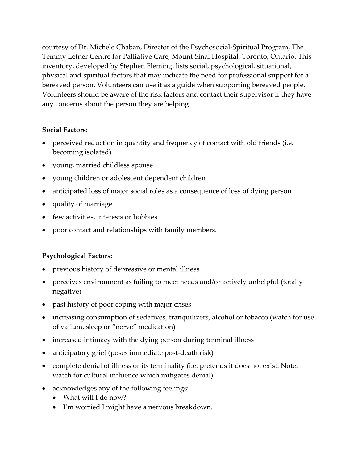courtesy of Dr. Michele Chaban, Director of the Psychosocial-Spiritual Program, The Temmy Letner Centre for Palliative Care, Mount Sinai Hospital, Toronto, Ontario. This inventory, developed by Stephen Fleming, lists social, psychological, situational, physical and spiritual factors that may indicate the need for professional support for a bereaved person. Volunteers can use it as a guide when supporting bereaved people. Volunteers should be aware of the risk factors and contact their supervisor if they have any concerns about the person they are helping

## **Social Factors:**

- perceived reduction in quantity and frequency of contact with old friends (i.e. becoming isolated)
- young, married childless spouse
- young children or adolescent dependent children
- anticipated loss of major social roles as a consequence of loss of dying person
- quality of marriage
- few activities, interests or hobbies
- poor contact and relationships with family members.

# **Psychological Factors:**

- previous history of depressive or mental illness
- perceives environment as failing to meet needs and/or actively unhelpful (totally negative)
- past history of poor coping with major crises
- increasing consumption of sedatives, tranquilizers, alcohol or tobacco (watch for use of valium, sleep or "nerve" medication)
- increased intimacy with the dying person during terminal illness
- anticipatory grief (poses immediate post-death risk)
- complete denial of illness or its terminality (i.e. pretends it does not exist. Note: watch for cultural influence which mitigates denial).
- acknowledges any of the following feelings:
	- What will I do now?
	- I'm worried I might have a nervous breakdown.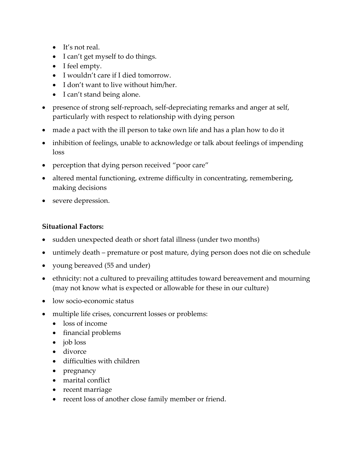- It's not real.
- I can't get myself to do things.
- I feel empty.
- I wouldn't care if I died tomorrow.
- I don't want to live without him/her.
- I can't stand being alone.
- presence of strong self-reproach, self-depreciating remarks and anger at self, particularly with respect to relationship with dying person
- made a pact with the ill person to take own life and has a plan how to do it
- inhibition of feelings, unable to acknowledge or talk about feelings of impending loss
- perception that dying person received "poor care"
- altered mental functioning, extreme difficulty in concentrating, remembering, making decisions
- severe depression.

## **Situational Factors:**

- sudden unexpected death or short fatal illness (under two months)
- untimely death premature or post mature, dying person does not die on schedule
- young bereaved (55 and under)
- ethnicity: not a cultured to prevailing attitudes toward bereavement and mourning (may not know what is expected or allowable for these in our culture)
- low socio-economic status
- multiple life crises, concurrent losses or problems:
	- loss of income
	- financial problems
	- job loss
	- divorce
	- difficulties with children
	- pregnancy
	- marital conflict
	- recent marriage
	- recent loss of another close family member or friend.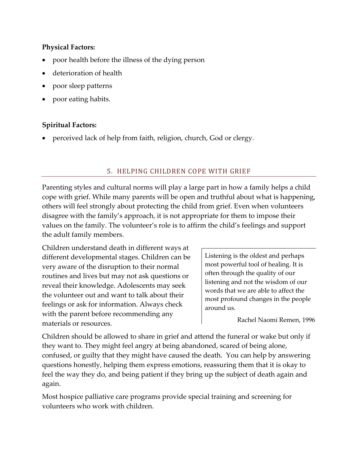## **Physical Factors:**

- poor health before the illness of the dying person
- deterioration of health
- poor sleep patterns
- poor eating habits.

## **Spiritual Factors:**

• perceived lack of help from faith, religion, church, God or clergy.

## 5. HELPING CHILDREN COPE WITH GRIEF

Parenting styles and cultural norms will play a large part in how a family helps a child cope with grief. While many parents will be open and truthful about what is happening, others will feel strongly about protecting the child from grief. Even when volunteers disagree with the family's approach, it is not appropriate for them to impose their values on the family. The volunteer's role is to affirm the child's feelings and support the adult family members.

Children understand death in different ways at different developmental stages. Children can be very aware of the disruption to their normal routines and lives but may not ask questions or reveal their knowledge. Adolescents may seek the volunteer out and want to talk about their feelings or ask for information. Always check with the parent before recommending any materials or resources.

Listening is the oldest and perhaps most powerful tool of healing. It is often through the quality of our listening and not the wisdom of our words that we are able to affect the most profound changes in the people around us.

Rachel Naomi Remen, 1996

Children should be allowed to share in grief and attend the funeral or wake but only if they want to. They might feel angry at being abandoned, scared of being alone, confused, or guilty that they might have caused the death. You can help by answering questions honestly, helping them express emotions, reassuring them that it is okay to feel the way they do, and being patient if they bring up the subject of death again and again.

Most hospice palliative care programs provide special training and screening for volunteers who work with children.